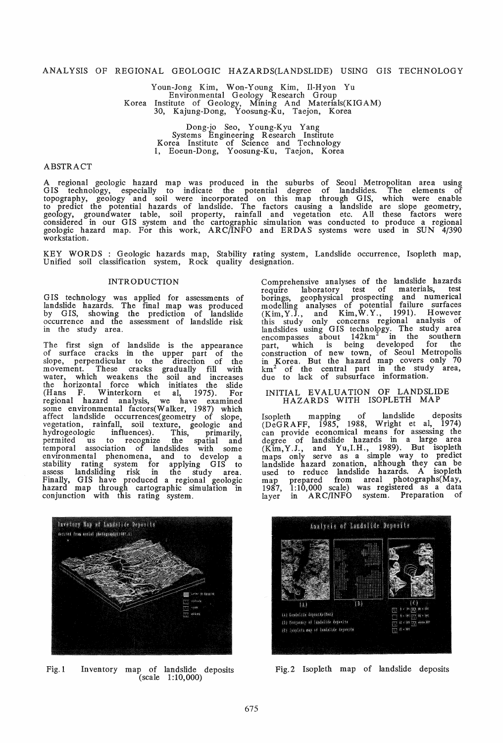#### ANALYSIS OF REGIONAL GEOLOGIC HAZARDS(LANDSLIDE) USING GIS TECHNOLOGY

Youn-Jong Kim, Won-Young Kim, II-Hyon Yu Environmental Geology Research Group Korea Institute of Geology, Mining And Materials(KIG AM) 30, Kajung-Dong, Yoosung-Ku, Taejon, Korea

> Dong-jo Seo, Y oung-Kyu Yang Systems Engineering Research Institute Korea Institute of SCience and Technology 1, Eoeun-Dong, Yoosung-Ku, Taejon, Korea

#### ABSTRACT

A regional geologic hazard map was produced in the suburbs of Seoul Metropolitan area using GIS technology, especially to indicate the potential degree of landslides. The elements of topography, geology and soil were incorporated on this map through GIS, which were enable to predict the potential hazards of landslide. The factors causing a landslide are slope geometry, geology, groundwater table, soil property, rainfall and vegetation etc. All these factors were considered in our GIS system and the cartographic simulation was conducted to produce a regional geologic hazard map. For this work, ARC/INFO and ERDAS systems were used in SUN 4/390 workstation.

KEY WORDS : Geologic hazards map, Stability rating system, Landslide occurrence, Isopleth map, Unified soil classification system, Rock quality designation.

# **INTRODUCTION**

G IS technology was applied for assessments of landslide hazards. The final map was produced by GIS, showing the prediction of landslide occurrence and the assessment of landslide risk in the study area.

The first sign of landslide is the appearance of surface cracks in the upper part of the slope, perpendicular to the direction of the movement. These cracks gradually fill with water, which weakens the soil and increases the horizontal force which initiates the slide (Hans F. Winterkorn et aI, 1975). For regional hazard analysis, we have examined some environmental factors(Walker, 1987) which affect landslide occurrences(geometry of slope, vegetation, rainfall, soil texture, geologic and hydrogeologic influences). This, primarily, permited us to recognize the spatial and temporal association of landslides with some environmental phenomena, and to develop a stability rating system for applying GIS to assess landsliding risk in the study area. Finally, GIS have produced a regional geologic hazard map through cartographic simulation in conjunction with this rating system.



Fig. 1 Inventory map of landslide deposits (scale 1:10,000)

Comprehensive analyses of the landslide hazards require laboratory test of materials, test borings, geophysical prospecting and numerical modelling analyses of potential failure surfaces  $(Kim, Y. \breve{J},$  and  $Kim, W. Y.,$  1991). However this study only concerns regional analysis of landslides using GIS technology. The study area encompasses about  $142 \text{km}^2$  in the southern part, which is being developed for the construction of new town, of Seoul Metropolis in Korea. But the hazard map covers only 70 km2 of the central part in the study area, due to lack of subsurface information.

#### INITIAL EVALUATION OF LANDSLIDE HAZARDS WITH ISOPLETH MAP

Isopleth mapping of landslide deposits (DeG RAFF, 1985, 1988, Wright et aI, 1974) can provide economical means for assessing the degree of landslide hazards in a large area (Kim,Y.J., and YU,LH., 1989). But isopleth maps only serve as a simple way to predict landslide hazard zonation, although they can be used to reduce landslide hazards. A isopleth map prepared from areal photographs(May, 1987, 1:10,000 scale) was registered as a data layer in ARC/INFO system. Preparation of



Fig.2 Isopleth map of landslide deposits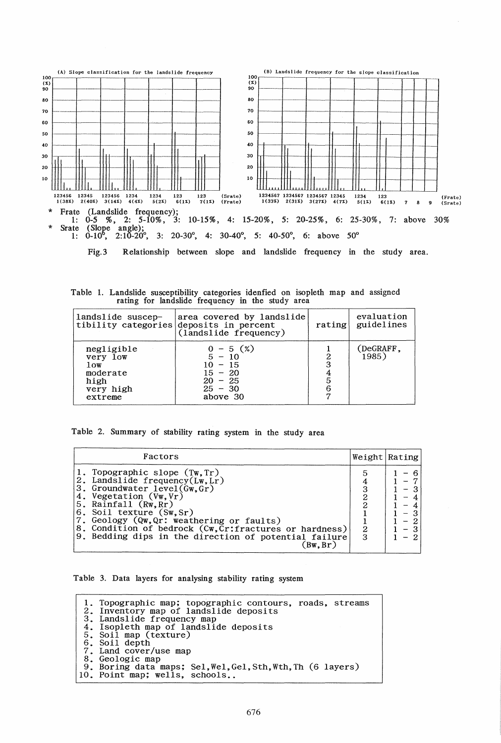

Fig. 3 Relationship between slope and landslide frequency in the study area.

Table 1. Landslide susceptibility categories idenfied on isopleth map and assigned rating for landslide frequency in the study area

| landslide suscep-                                                         | area covered by landslide<br>tibility categories deposits in percent<br>(1 and slide frequency) | rating                | evaluation<br>guidelines |
|---------------------------------------------------------------------------|-------------------------------------------------------------------------------------------------|-----------------------|--------------------------|
| negligible<br>very low<br>low<br>moderate<br>high<br>very high<br>extreme | $0 - 5$ (%)<br>$5 - 10$<br>$10 - 15$<br>$15 - 20$<br>$20 - 25$<br>$25 - 30$<br>above 30         | 2<br>3<br>4<br>5<br>6 | (DeGRAFF,<br>1985)       |

|  |  | Table 2. Summary of stability rating system in the study area |  |  |  |  |  |  |  |  |
|--|--|---------------------------------------------------------------|--|--|--|--|--|--|--|--|
|--|--|---------------------------------------------------------------|--|--|--|--|--|--|--|--|

| Factors                                                                                                                                                                                                                                                                                                                                                                            |             | Weight   Rating               |
|------------------------------------------------------------------------------------------------------------------------------------------------------------------------------------------------------------------------------------------------------------------------------------------------------------------------------------------------------------------------------------|-------------|-------------------------------|
| 1. Topographic slope (Tw.Tr)<br>2. Landslide frequency $(Lw, Lr)$<br>3. Groundwater $level(\tilde{Gw}, \tilde{Gr})$<br>4. Vegetation (Vw.Vr)<br>5. Rainfall (Rw, Rr)<br>6. Soil texture (Sw, Sr)<br>7. Geology (Qw, Qr: weathering or faults)<br>8. Condition of bedrock (Cw, Cr: fractures or hardness)<br>9. Bedding dips in the direction of potential failure<br>$Bw$ , $Br$ ) | ົ<br>2<br>3 | $\overline{\phantom{a}}$<br>- |

Table 3. Data layers for analysing stability rating system

1. Topographic map; topographic contours, roads, streams 2. Inventory map of landslide deposits<br>3. Landslide frequency map<br>4. Isopleth map of landslide deposits<br>5. Soil map (texture) 5. Soil map (texture)<br>6. Soil depth<br>7. Land cover/use map 7. Land cover/use map 8. Geologic map 9. Boring data maps; Sel, Wel, Gel, Sth, Wth, Th (6 layers) 10. Point map; wells, schools.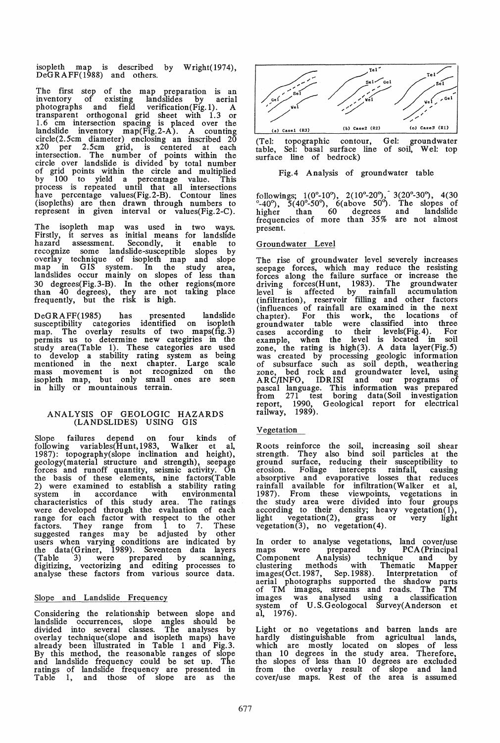isopleth map is described by Wright( 1974), DeGRAFF(1988) and others.

The first step of the map preparation is an inventory of existing landslides by aerial photographs and field verification(Fig. 1). A transparent orthogonal grid sheet with 1.3 or 1.6 cm intersection spacing is placed over the landslide inventory map(Fig.2-A). A counting circle(2.5cm diameter) enclosing an inscribed 20 x20 per 2.5cm grid, is centered at each intersection. The number of points within the circle over landslide is divided by total number of grid points within the circle and multiplied by 100 to yield a percentage value. This process is repeated until that all intersections have percentage values(Fig.2-B). Contour lines (isopleths) are then drawn through numbers to represent in given interval or values(Fig. 2-C).

The isopleth map was used in two ways. Firstly, it serves as initial means for landslide hazard assessment. Secondly, it enable to recognize some landslide-susceptible slopes by overlay technique of isopleth map and slope map in GIS system. In the study area, landslides occur mainly on slopes of less than 30 degrees(Fig. 3-B). In the other regions(more than 40 degrees), they are not taking place frequently, but the risk is high.

DeGRAFF(1985) has presented landslide susceptibility categories identified on isopleth map. The overlay results of two maps(fig.3) permits us to determine new categiries in the study area(Table 1). These categories are used to develop a stability rating system as being mentioned in the next chapter. Large scale mass movement is not recognized on the isopleth map, but only small ones are seen in hilly or mountainous terrain.

# ANALYSIS OF GEOLOGIC HAZARDS (LANDSLIDES) USING GIS

Slope failures depend on four kinds of following variables(Hunt,1983, Walker et aI, 1987): topography(slope inclination and height), geology(material structure and strength), seepage forces and runoff quantity, seismic activity. On the basis of these elements, nine factors(Table 2) were examined to establish a stability rating system in accordance with environmental characteristics of this study area. The ratings were developed through the evaluation of each range for each factor with respect to the other factors. They range from 1 to 7. These suggested ranges may be adjusted by other users when varying conditions are indicated by the data(Griner, 1989). Seventeen data layers (Table 3) were prepared by scanning, digitizing, vectorizing and editing processes to analyse these factors from various source data.

# Slope and Landslide Frequency

Considering the relationship between slope and landslide occurrences, slope angles should be divided into several classes. The analyses by overlay technique(slope and isopleth maps) have already been illustrated in Table 1 and Fig.3. By this method, the reasonable ranges of slope and landslide frequency could be set up. The ratings of landslide frequency are presented in Table 1, and those of slope are as the



(Tel: topographic contour, Gel: groundwater table, Sel: basal surface line of soil, WeI: top surface line of bedrock)

# Fig. 4 Analysis of groundwater table

followings;  $1(0^{\circ}-10^{\circ})$ ,  $2(10^{\circ}-20^{\circ})$ ,  $3(20^{\circ}-30^{\circ})$ ,  $4(30^{\circ})$  $^{\circ}$ -40 $^{\circ}$ ), 5(40 $^{\circ}$ -50 $^{\circ}$ ), 6(above 50 $^{\circ}$ ). The slopes of higher than 60 degrees and landslide frequencies of more than 35% are not almost present.

# Groundwater Level

The rise of groundwater level severely increases seepage forces, which may reduce the resisting forces along the failure surface or increase the driving forces(Hunt, 1983). The groundwater level is affected by rainfall accumulation (infiltration), reservoir filling and other factors (influences of rainfall are examined in the next chapter). For this work, the locations of groundwater table were classified into three  $cases$  according to their levels(Fig. 4). For example, when the level is located in soil zone, the rating is high $(3)$ . A data layer $(Fig.5)$ was created by processing geologic information of subsurface such as soil depth, weathering zone, bed rock and groundwater level, using ARC/INFO, IDRISI and our programs of pascal language. This information was prepared from 271 test boring data(Soil investigation report, 1990, Geological report for electrical railway, 1989).

## Vegetation

Roots reinforce the soil, increasing soil shear strength. They also bind soil particles at the ground surface, reducing their susceptibility to erosion. Foliage intercepts rainfall, causing absorptive and evaporative losses that reduces rainfall available for infiltration(Walker et aI, 1987). From these viewpoints, vegetations in the study area were divided into four groups according to their density; heavy vegetation(1), light vegetation(2), grass or very light  $v$ egetation(3), no vegetation(4).

In order to analyse vegetations, land cover/use maps were prepared by PCA (Principal Component Analysis) technique and by clustering methods with Thematic Mapper  $images(Oct.1987, Sep.1988). Interpretation of$ aerial photographs supported the shadow parts of TM images, streams and roads. The TM images was analysed using a classification system of U.S.Geologocal Survey(Anderson et aI, 1976).

Light or no vegetations and barren lands are hardly distinguishable from agricultual lands, which are mostly located on slopes of less than 10 degrees in the study area. Therefore, the slopes of less than 10 degrees are excluded from the overlay result of slope and land cover/use maps. Rest of the area is assumed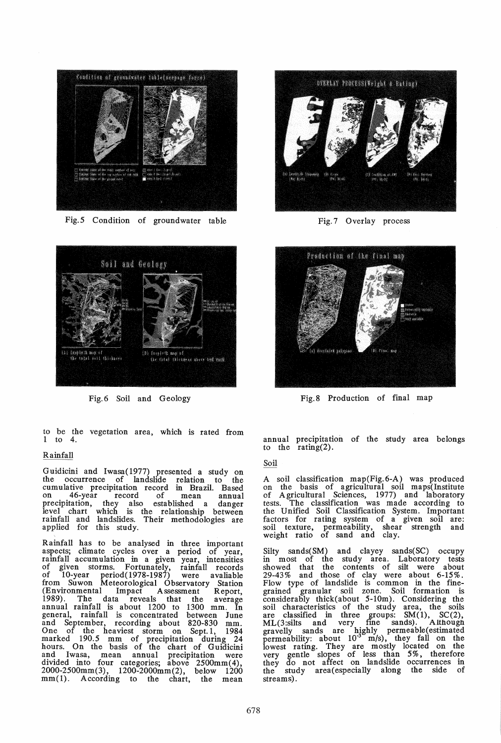

Fig.5 Condition of groundwater table



Fig.6 Soil and Geology

to be the vegetation area, which is rated from 1 to 4.

# Rainfall

Guidicini and Iwasa(l977) presented a study on the occurrence of landslide relation to the cumulative precipitation record in Brazil. Based on 46-year record of mean annual precipitation, they also established a danger level chart which is the relationship between rainfall and landslides. Their methodologies are applied for this study.

Rainfall has to be analysed in three important aspects; climate cycles over a period of year, rainfall accumulation in a given year, intensities of given storms. Fortunately, rainfall records of 10-year period(l978-1987) were avaliable from Suwon Meteorological Observatory Station (Environmental Impact Assessment Report, 1989). The data reveals that the average annual rainfall is about 1200 to 1300 mm. In general, rainfall is concentrated between June and September, recording about 820-830 mm. One of the heaviest storm on Sept. 1, 1984 marked 190.5 mm of precipitation during 24 hours. On the basis of the chart of Guidicini and Iwasa, mean annual precipitation were divided into four categories; above 2500mm(4), 2000-2500mm(3), 1200-2000mm(2), below 1200 mm(1). According to the chart, the mean



Fig.7 Overlay process



Fig.8 Production of final map

annual precipitation of the study area belongs to the rating(2).

# Soil

A soil classification map(Fig.6-A) was produced on the basis of agricultural soil maps(Institute of Agricultural Sciences, 1977) and laboratory tests. The classification was made according to the Unified Soil Classification System. Important factors for rating system of a given soil are: soil texture, permeability, shear strength and weight ratio of sand and clay.

Silty sands(SM) and clayey sands(SC) occupy in most of the study area. Laboratory tests showed that the contents of silt were about 29-43% and those of clay were about 6-15%. Flow type of landslide is common in the finegrained granular soil zone. Soil formation is considerably thick(about 5-10m). Considering the soil characteristics of the study area, the soils are classified in three groups:  $SM(1)$ ,  $SC(2)$ , ML(3:silts and very fine sands). Although gravelly sands are highly permeable(estimated permeability: about 10<sup>-3</sup> m/s), they fall on the lowest rating. They are mostly located on the very gentle slopes of less than 5%, therefore they do not affect on landslide occurrences in the study area( especially along the side of streams).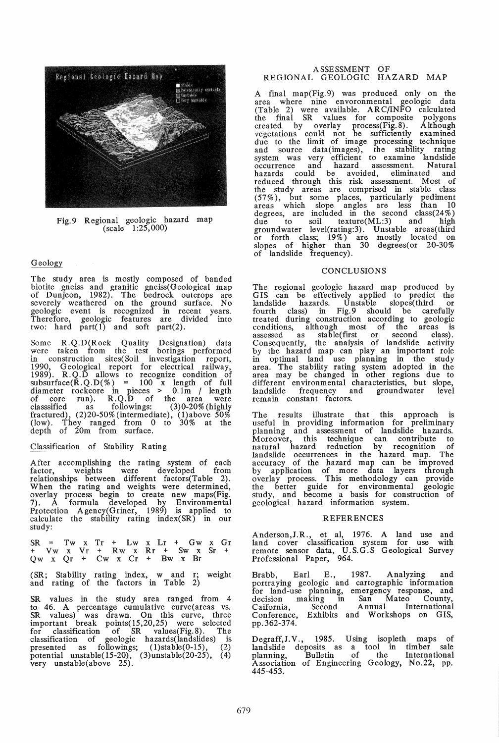

Fig.9 Regional geologic hazard map  $(\text{scale} - 1:25,000)$ 

## Geology

The study area is mostly composed of banded biotite gneiss and granitic gneiss(Geological map of Dunjeon, 1982). The bedrock outcrops are severely weathered on the ground surface. No geologic event is recognized in recent years. Therefore, geologic features are divided into two: hard  $part(1)$  and soft part(2).

Some R.Q.D(Rock Quality Designation) data were taken from the test borings performed in construction sites( Soil investigation report, 1990, Geological report for electrical railway, 1989). R.Q.D allows to recognize condition of  $subsurface(\overline{R}.Q.D(\%) = 100$  x length of full diameter rockcore in pieces > 0.1m / length of core run). R. Q. D of the area were classsified as followings: (3)0-20% (highly fractured), (2)20-50% (intermediate), (l)above 50% (low). They ranged from 0 to 30% at the depth of 20m from surface.

### Classification of Stability Rating

After accomplishing the rating system of each factor, weights were developed from relationships between different factors(Table 2). When the rating and weights were determined, overlay process begin to create new maps(Fig. 7). A formula developed by Environmental Protection Agency(Griner, 1989) is applied to calculate the stability rating index(SR) in our study:

 $SR = Tw \times Tr + Lw \times Lr + Gw \times Gr$ + Vw x Vr + Rw x Rr + Sw x Sr + Qw x Qr + Cw x Cr + Bw x Br

(SR; Stability rating index, w and r; weight and rating of the factors in Table 2)

SR values in the study area ranged from 4 to 46. A percentage cumulative curve(areas vs. to 46. A percentage cumulative curve(areas vs. SR values) was drawn. On this curve, three important break points( 15,20,25) were selected for classification of SR values(Fig. 8). The classification of geologic hazards(landslides) is presented as followings; (l)stable(0-15), (2) potential unstable(15-20),  $(3)$ unstable(20-25),  $(4)$ very unstable(above 25).

## ASSESSMENT OF REGIONAL GEOLOGIC HAZARD MAP

A final map(Fig.9) was produced only on the area where nine envoronmental geologic data (Table 2) were available. ARC/INFO calculated the final SR values for composite polygons created by overlay process(Fig. 8). Although vegetations could not be sufficiently examined due to the limit of image processing technique and source data(images), the stability rating system was very efficient to examine landslide occurrence and hazard assessment. Natural hazards could be avoided, eliminated and reduced through this risk assessment. Most of the study areas are comprised in stable class (57%), but some places, particularly pediment areas which slope angles are less than 10 degrees, are included in the second  $class(24\%)$ due to soil texture(ML:3) and high groundwater level(rating:3). Unstable areas(third<br>or forth class; 19%) are mostly located on<br>slopes of higher than 30 degrees(or 20-30% of landslide frequency).

#### CONCLUSIONS

The regional geologic hazard map produced by GIS can be effectively applied to predict the landslide hazards. Unstable slopes(third or fourth class) in Fig.9 should be carefully treated during construction according to geologic conditions, although most of the areas is assessed as stable(first or second class). Consequently, the analysis of landslide activity by the hazard map can play an important role in optimal land use planning in the study area. The stability rating system adopted in the area may be changed in other regions due to different environmental characteristics, but slope,<br>landslide frequency and groundwater level landslide frequency and remain constant factors.

The results illustrate that this approach is useful in providing information for preliminary planning and assessment of landslide hazards. Moreover, this technique can contribute to natural hazard reduction by recognition of landslide occurrences in the hazard map. The accuracy of the hazard map can be improved by application of more data layers through overlay process. This methodology can provide the better guide for environmental geologic study, and become a basis for construction of geological hazard information system.

#### REFERENCES

Anderson,J.R., et aI, 1976. A land use and land cover classification system for use with remote sensor data, U.S.G.S Geological Survey Professional Paper, 964.

Brabb, Earl E., 1987. Analyzing and portraying geologic and cartographic information for land-use planning, emergency response, and decision making in San Mateo County, Caifornia, Second Annual International Conference, Exhibits and Workshops on GIS, pp.362-374.

Degraff,J.V., 1985. Using isopleth maps of landslide deposits as a tool in timber sale planning, Bulletin of the International Association of Engineering Geology, No.22, pp. 445-453.